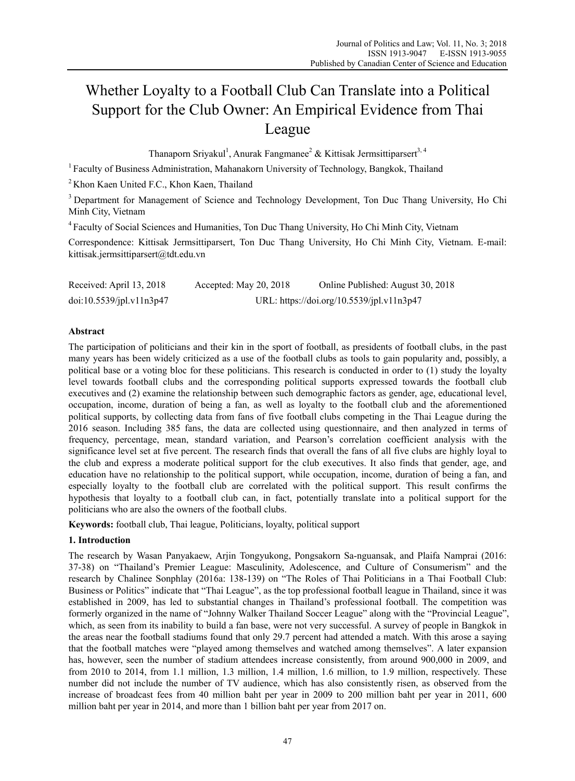# Whether Loyalty to a Football Club Can Translate into a Political Support for the Club Owner: An Empirical Evidence from Thai League

Thanaporn Sriyakul<sup>1</sup>, Anurak Fangmanee<sup>2</sup> & Kittisak Jermsittiparsert<sup>3, 4</sup>

<sup>1</sup> Faculty of Business Administration, Mahanakorn University of Technology, Bangkok, Thailand

<sup>2</sup> Khon Kaen United F.C., Khon Kaen, Thailand

<sup>3</sup> Department for Management of Science and Technology Development, Ton Duc Thang University, Ho Chi Minh City, Vietnam

4 Faculty of Social Sciences and Humanities, Ton Duc Thang University, Ho Chi Minh City, Vietnam

Correspondence: Kittisak Jermsittiparsert, Ton Duc Thang University, Ho Chi Minh City, Vietnam. E-mail: kittisak.jermsittiparsert@tdt.edu.vn

| Received: April 13, 2018 | Accepted: May $20, 2018$ | Online Published: August 30, 2018         |
|--------------------------|--------------------------|-------------------------------------------|
| doi:10.5539/ipl.v11n3p47 |                          | URL: https://doi.org/10.5539/jpl.v11n3p47 |

## **Abstract**

The participation of politicians and their kin in the sport of football, as presidents of football clubs, in the past many years has been widely criticized as a use of the football clubs as tools to gain popularity and, possibly, a political base or a voting bloc for these politicians. This research is conducted in order to (1) study the loyalty level towards football clubs and the corresponding political supports expressed towards the football club executives and (2) examine the relationship between such demographic factors as gender, age, educational level, occupation, income, duration of being a fan, as well as loyalty to the football club and the aforementioned political supports, by collecting data from fans of five football clubs competing in the Thai League during the 2016 season. Including 385 fans, the data are collected using questionnaire, and then analyzed in terms of frequency, percentage, mean, standard variation, and Pearson's correlation coefficient analysis with the significance level set at five percent. The research finds that overall the fans of all five clubs are highly loyal to the club and express a moderate political support for the club executives. It also finds that gender, age, and education have no relationship to the political support, while occupation, income, duration of being a fan, and especially loyalty to the football club are correlated with the political support. This result confirms the hypothesis that loyalty to a football club can, in fact, potentially translate into a political support for the politicians who are also the owners of the football clubs.

**Keywords:** football club, Thai league, Politicians, loyalty, political support

## **1. Introduction**

The research by Wasan Panyakaew, Arjin Tongyukong, Pongsakorn Sa-nguansak, and Plaifa Namprai (2016: 37-38) on "Thailand's Premier League: Masculinity, Adolescence, and Culture of Consumerism" and the research by Chalinee Sonphlay (2016a: 138-139) on "The Roles of Thai Politicians in a Thai Football Club: Business or Politics" indicate that "Thai League", as the top professional football league in Thailand, since it was established in 2009, has led to substantial changes in Thailand's professional football. The competition was formerly organized in the name of "Johnny Walker Thailand Soccer League" along with the "Provincial League", which, as seen from its inability to build a fan base, were not very successful. A survey of people in Bangkok in the areas near the football stadiums found that only 29.7 percent had attended a match. With this arose a saying that the football matches were "played among themselves and watched among themselves". A later expansion has, however, seen the number of stadium attendees increase consistently, from around 900,000 in 2009, and from 2010 to 2014, from 1.1 million, 1.3 million, 1.4 million, 1.6 million, to 1.9 million, respectively. These number did not include the number of TV audience, which has also consistently risen, as observed from the increase of broadcast fees from 40 million baht per year in 2009 to 200 million baht per year in 2011, 600 million baht per year in 2014, and more than 1 billion baht per year from 2017 on.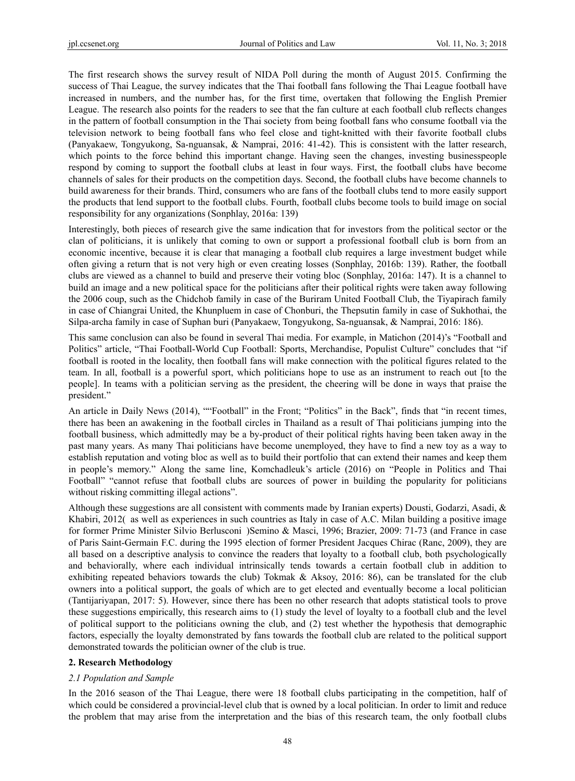The first research shows the survey result of NIDA Poll during the month of August 2015. Confirming the success of Thai League, the survey indicates that the Thai football fans following the Thai League football have increased in numbers, and the number has, for the first time, overtaken that following the English Premier League. The research also points for the readers to see that the fan culture at each football club reflects changes in the pattern of football consumption in the Thai society from being football fans who consume football via the television network to being football fans who feel close and tight-knitted with their favorite football clubs (Panyakaew, Tongyukong, Sa-nguansak, & Namprai, 2016: 41-42). This is consistent with the latter research, which points to the force behind this important change. Having seen the changes, investing businesspeople respond by coming to support the football clubs at least in four ways. First, the football clubs have become channels of sales for their products on the competition days. Second, the football clubs have become channels to build awareness for their brands. Third, consumers who are fans of the football clubs tend to more easily support the products that lend support to the football clubs. Fourth, football clubs become tools to build image on social responsibility for any organizations (Sonphlay, 2016a: 139)

Interestingly, both pieces of research give the same indication that for investors from the political sector or the clan of politicians, it is unlikely that coming to own or support a professional football club is born from an economic incentive, because it is clear that managing a football club requires a large investment budget while often giving a return that is not very high or even creating losses (Sonphlay, 2016b: 139). Rather, the football clubs are viewed as a channel to build and preserve their voting bloc (Sonphlay, 2016a: 147). It is a channel to build an image and a new political space for the politicians after their political rights were taken away following the 2006 coup, such as the Chidchob family in case of the Buriram United Football Club, the Tiyapirach family in case of Chiangrai United, the Khunpluem in case of Chonburi, the Thepsutin family in case of Sukhothai, the Silpa-archa family in case of Suphan buri (Panyakaew, Tongyukong, Sa-nguansak, & Namprai, 2016: 186).

This same conclusion can also be found in several Thai media. For example, in Matichon (2014)'s "Football and Politics" article, "Thai Football-World Cup Football: Sports, Merchandise, Populist Culture" concludes that "if football is rooted in the locality, then football fans will make connection with the political figures related to the team. In all, football is a powerful sport, which politicians hope to use as an instrument to reach out [to the people]. In teams with a politician serving as the president, the cheering will be done in ways that praise the president."

An article in Daily News (2014), ""Football" in the Front; "Politics" in the Back", finds that "in recent times, there has been an awakening in the football circles in Thailand as a result of Thai politicians jumping into the football business, which admittedly may be a by-product of their political rights having been taken away in the past many years. As many Thai politicians have become unemployed, they have to find a new toy as a way to establish reputation and voting bloc as well as to build their portfolio that can extend their names and keep them in people's memory." Along the same line, Komchadleuk's article (2016) on "People in Politics and Thai Football" "cannot refuse that football clubs are sources of power in building the popularity for politicians without risking committing illegal actions".

Although these suggestions are all consistent with comments made by Iranian experts) Dousti, Godarzi, Asadi, & Khabiri, 2012( as well as experiences in such countries as Italy in case of A.C. Milan building a positive image for former Prime Minister Silvio Berlusconi )Semino & Masci, 1996; Brazier, 2009: 71-73 (and France in case of Paris Saint-Germain F.C. during the 1995 election of former President Jacques Chirac (Ranc, 2009), they are all based on a descriptive analysis to convince the readers that loyalty to a football club, both psychologically and behaviorally, where each individual intrinsically tends towards a certain football club in addition to exhibiting repeated behaviors towards the club) Tokmak & Aksoy, 2016: 86), can be translated for the club owners into a political support, the goals of which are to get elected and eventually become a local politician (Tantijariyapan, 2017: 5). However, since there has been no other research that adopts statistical tools to prove these suggestions empirically, this research aims to (1) study the level of loyalty to a football club and the level of political support to the politicians owning the club, and (2) test whether the hypothesis that demographic factors, especially the loyalty demonstrated by fans towards the football club are related to the political support demonstrated towards the politician owner of the club is true.

#### **2. Research Methodology**

### *2.1 Population and Sample*

In the 2016 season of the Thai League, there were 18 football clubs participating in the competition, half of which could be considered a provincial-level club that is owned by a local politician. In order to limit and reduce the problem that may arise from the interpretation and the bias of this research team, the only football clubs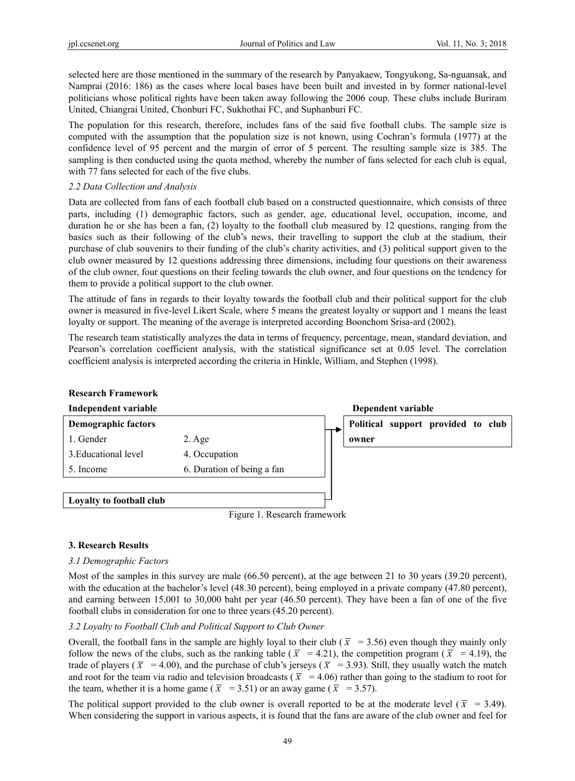selected here are those mentioned in the summary of the research by Panyakaew, Tongyukong, Sa-nguansak, and Namprai (2016: 186) as the cases where local bases have been built and invested in by former national-level politicians whose political rights have been taken away following the 2006 coup. These clubs include Buriram United, Chiangrai United, Chonburi FC, Sukhothai FC, and Suphanburi FC.

The population for this research, therefore, includes fans of the said five football clubs. The sample size is computed with the assumption that the population size is not known, using Cochran's formula (1977) at the confidence level of 95 percent and the margin of error of 5 percent. The resulting sample size is 385. The sampling is then conducted using the quota method, whereby the number of fans selected for each club is equal, with 77 fans selected for each of the five clubs.

## *2.2 Data Collection and Analysis*

Data are collected from fans of each football club based on a constructed questionnaire, which consists of three parts, including (1) demographic factors, such as gender, age, educational level, occupation, income, and duration he or she has been a fan, (2) loyalty to the football club measured by 12 questions, ranging from the basics such as their following of the club's news, their travelling to support the club at the stadium, their purchase of club souvenirs to their funding of the club's charity activities, and (3) political support given to the club owner measured by 12 questions addressing three dimensions, including four questions on their awareness of the club owner, four questions on their feeling towards the club owner, and four questions on the tendency for them to provide a political support to the club owner.

The attitude of fans in regards to their loyalty towards the football club and their political support for the club owner is measured in five-level Likert Scale, where 5 means the greatest loyalty or support and 1 means the least loyalty or support. The meaning of the average is interpreted according Boonchom Srisa-ard (2002).

The research team statistically analyzes the data in terms of frequency, percentage, mean, standard deviation, and Pearson's correlation coefficient analysis, with the statistical significance set at 0.05 level. The correlation coefficient analysis is interpreted according the criteria in Hinkle, William, and Stephen (1998).



#### **3. Research Results**

#### *3.1 Demographic Factors*

Most of the samples in this survey are male (66.50 percent), at the age between 21 to 30 years (39.20 percent), with the education at the bachelor's level (48.30 percent), being employed in a private company (47.80 percent), and earning between 15,001 to 30,000 baht per year (46.50 percent). They have been a fan of one of the five football clubs in consideration for one to three years (45.20 percent).

#### *3.2 Loyalty to Football Club and Political Support to Club Owner*

Overall, the football fans in the sample are highly loyal to their club ( $\bar{x}$  = 3.56) even though they mainly only follow the news of the clubs, such as the ranking table ( $\bar{x}$  = 4.21), the competition program ( $\bar{x}$  = 4.19), the trade of players ( $\bar{x}$  = 4.00), and the purchase of club's jerseys ( $\bar{x}$  = 3.93). Still, they usually watch the match and root for the team via radio and television broadcasts ( $\bar{x}$  = 4.06) rather than going to the stadium to root for the team, whether it is a home game ( $\bar{x}$  = 3.51) or an away game ( $\bar{x}$  = 3.57).

The political support provided to the club owner is overall reported to be at the moderate level ( $\bar{x}$  = 3.49). When considering the support in various aspects, it is found that the fans are aware of the club owner and feel for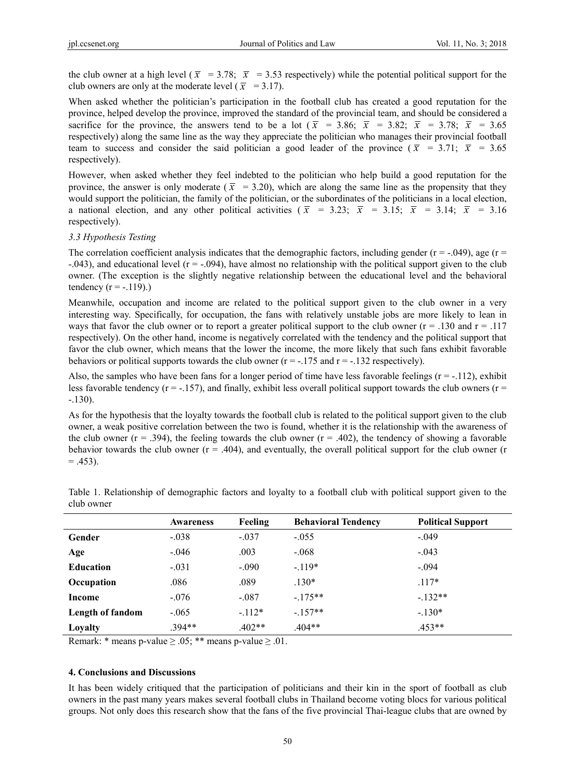the club owner at a high level ( $\bar{x}$  = 3.78;  $\bar{x}$  = 3.53 respectively) while the potential political support for the club owners are only at the moderate level ( $\bar{x}$  = 3.17).

When asked whether the politician's participation in the football club has created a good reputation for the province, helped develop the province, improved the standard of the provincial team, and should be considered a sacrifice for the province, the answers tend to be a lot  $(\bar{x} = 3.86; \bar{x} = 3.82; \bar{x} = 3.78; \bar{x} = 3.65)$ respectively) along the same line as the way they appreciate the politician who manages their provincial football team to success and consider the said politician a good leader of the province ( $\bar{x}$  = 3.71;  $\bar{x}$  = 3.65 respectively).

However, when asked whether they feel indebted to the politician who help build a good reputation for the province, the answer is only moderate ( $\bar{x}$  = 3.20), which are along the same line as the propensity that they would support the politician, the family of the politician, or the subordinates of the politicians in a local election, a national election, and any other political activities ( $\bar{x}$  = 3.23;  $\bar{x}$  = 3.15;  $\bar{x}$  = 3.14;  $\bar{x}$  = 3.16 respectively).

#### *3.3 Hypothesis Testing*

The correlation coefficient analysis indicates that the demographic factors, including gender ( $r = -0.049$ ), age ( $r =$ -.043), and educational level  $(r = -.094)$ , have almost no relationship with the political support given to the club owner. (The exception is the slightly negative relationship between the educational level and the behavioral tendency  $(r = -.119)$ .)

Meanwhile, occupation and income are related to the political support given to the club owner in a very interesting way. Specifically, for occupation, the fans with relatively unstable jobs are more likely to lean in ways that favor the club owner or to report a greater political support to the club owner ( $r = .130$  and  $r = .117$ ) respectively). On the other hand, income is negatively correlated with the tendency and the political support that favor the club owner, which means that the lower the income, the more likely that such fans exhibit favorable behaviors or political supports towards the club owner ( $r = -175$  and  $r = -132$  respectively).

Also, the samples who have been fans for a longer period of time have less favorable feelings  $(r = -112)$ , exhibit less favorable tendency ( $r = -.157$ ), and finally, exhibit less overall political support towards the club owners ( $r =$ -.130).

As for the hypothesis that the loyalty towards the football club is related to the political support given to the club owner, a weak positive correlation between the two is found, whether it is the relationship with the awareness of the club owner ( $r = .394$ ), the feeling towards the club owner ( $r = .402$ ), the tendency of showing a favorable behavior towards the club owner ( $r = .404$ ), and eventually, the overall political support for the club owner ( $r = .404$ ).  $= .453$ ).

|                  | <b>Awareness</b> | Feeling  | <b>Behavioral Tendency</b> | <b>Political Support</b> |
|------------------|------------------|----------|----------------------------|--------------------------|
| Gender           | $-.038$          | $-.037$  | $-.055$                    | $-.049$                  |
| Age              | $-.046$          | .003     | $-.068$                    | $-.043$                  |
| <b>Education</b> | $-.031$          | $-.090$  | $-.119*$                   | $-.094$                  |
| Occupation       | .086             | .089     | $.130*$                    | $.117*$                  |
| Income           | $-.076$          | $-.087$  | $-175**$                   | $-132**$                 |
| Length of fandom | $-.065$          | $-112*$  | $-157**$                   | $-130*$                  |
| Loyalty          | 394**            | $.402**$ | $.404**$                   | $.453**$                 |

Table 1. Relationship of demographic factors and loyalty to a football club with political support given to the club owner

Remark: \* means p-value  $\geq .05$ ; \*\* means p-value  $\geq .01$ .

#### **4. Conclusions and Discussions**

It has been widely critiqued that the participation of politicians and their kin in the sport of football as club owners in the past many years makes several football clubs in Thailand become voting blocs for various political groups. Not only does this research show that the fans of the five provincial Thai-league clubs that are owned by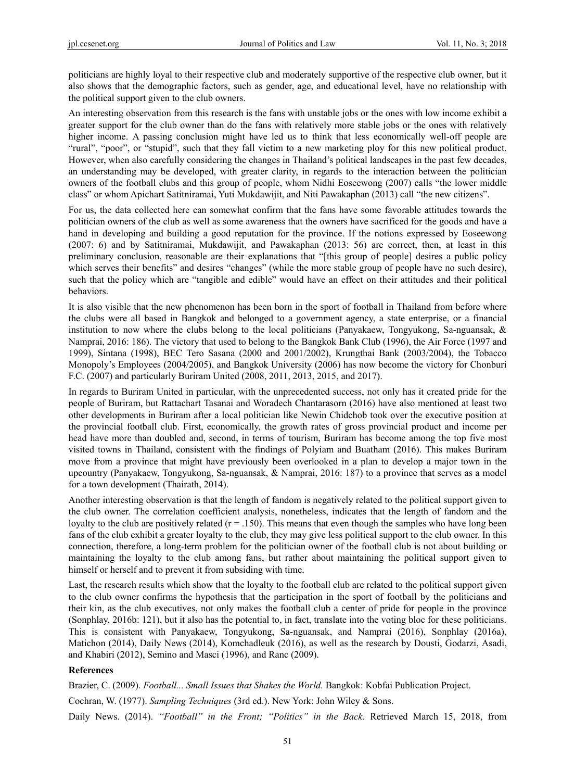politicians are highly loyal to their respective club and moderately supportive of the respective club owner, but it also shows that the demographic factors, such as gender, age, and educational level, have no relationship with the political support given to the club owners.

An interesting observation from this research is the fans with unstable jobs or the ones with low income exhibit a greater support for the club owner than do the fans with relatively more stable jobs or the ones with relatively higher income. A passing conclusion might have led us to think that less economically well-off people are "rural", "poor", or "stupid", such that they fall victim to a new marketing ploy for this new political product. However, when also carefully considering the changes in Thailand's political landscapes in the past few decades, an understanding may be developed, with greater clarity, in regards to the interaction between the politician owners of the football clubs and this group of people, whom Nidhi Eoseewong (2007) calls "the lower middle class" or whom Apichart Satitniramai, Yuti Mukdawijit, and Niti Pawakaphan (2013) call "the new citizens".

For us, the data collected here can somewhat confirm that the fans have some favorable attitudes towards the politician owners of the club as well as some awareness that the owners have sacrificed for the goods and have a hand in developing and building a good reputation for the province. If the notions expressed by Eoseewong (2007: 6) and by Satitniramai, Mukdawijit, and Pawakaphan (2013: 56) are correct, then, at least in this preliminary conclusion, reasonable are their explanations that "[this group of people] desires a public policy which serves their benefits" and desires "changes" (while the more stable group of people have no such desire), such that the policy which are "tangible and edible" would have an effect on their attitudes and their political behaviors.

It is also visible that the new phenomenon has been born in the sport of football in Thailand from before where the clubs were all based in Bangkok and belonged to a government agency, a state enterprise, or a financial institution to now where the clubs belong to the local politicians (Panyakaew, Tongyukong, Sa-nguansak, & Namprai, 2016: 186). The victory that used to belong to the Bangkok Bank Club (1996), the Air Force (1997 and 1999), Sintana (1998), BEC Tero Sasana (2000 and 2001/2002), Krungthai Bank (2003/2004), the Tobacco Monopoly's Employees (2004/2005), and Bangkok University (2006) has now become the victory for Chonburi F.C. (2007) and particularly Buriram United (2008, 2011, 2013, 2015, and 2017).

In regards to Buriram United in particular, with the unprecedented success, not only has it created pride for the people of Buriram, but Rattachart Tasanai and Woradech Chantarasorn (2016) have also mentioned at least two other developments in Buriram after a local politician like Newin Chidchob took over the executive position at the provincial football club. First, economically, the growth rates of gross provincial product and income per head have more than doubled and, second, in terms of tourism, Buriram has become among the top five most visited towns in Thailand, consistent with the findings of Polyiam and Buatham (2016). This makes Buriram move from a province that might have previously been overlooked in a plan to develop a major town in the upcountry (Panyakaew, Tongyukong, Sa-nguansak, & Namprai, 2016: 187) to a province that serves as a model for a town development (Thairath, 2014).

Another interesting observation is that the length of fandom is negatively related to the political support given to the club owner. The correlation coefficient analysis, nonetheless, indicates that the length of fandom and the loyalty to the club are positively related  $(r = .150)$ . This means that even though the samples who have long been fans of the club exhibit a greater loyalty to the club, they may give less political support to the club owner. In this connection, therefore, a long-term problem for the politician owner of the football club is not about building or maintaining the loyalty to the club among fans, but rather about maintaining the political support given to himself or herself and to prevent it from subsiding with time.

Last, the research results which show that the loyalty to the football club are related to the political support given to the club owner confirms the hypothesis that the participation in the sport of football by the politicians and their kin, as the club executives, not only makes the football club a center of pride for people in the province (Sonphlay, 2016b: 121), but it also has the potential to, in fact, translate into the voting bloc for these politicians. This is consistent with Panyakaew, Tongyukong, Sa-nguansak, and Namprai (2016), Sonphlay (2016a), Matichon (2014), Daily News (2014), Komchadleuk (2016), as well as the research by Dousti, Godarzi, Asadi, and Khabiri (2012), Semino and Masci (1996), and Ranc (2009).

## **References**

Brazier, C. (2009). *Football... Small Issues that Shakes the World.* Bangkok: Kobfai Publication Project. Cochran, W. (1977). *Sampling Techniques* (3rd ed.). New York: John Wiley & Sons. Daily News. (2014). *"Football" in the Front; "Politics" in the Back.* Retrieved March 15, 2018, from